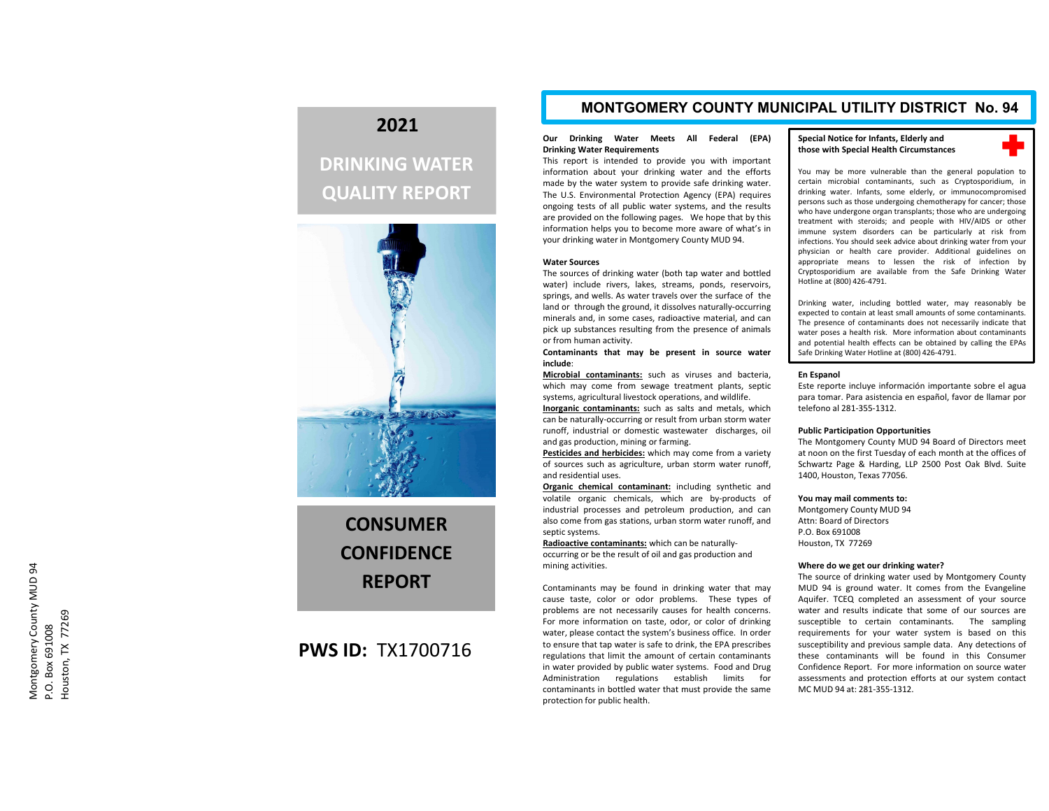## **2021**

# **DRINKING WATER QUALITY REPORT**



**CONSUMERCONFIDENCEREPORT**

### **PWS ID:** TX1700716

### **MONTGOMERY COUNTY MUNICIPAL UTILITY DISTRICT No. 94**

#### **Our Drinking Water Meets All Federal (EPA) Drinking Water Requirements**

This report is intended to provide you with important information about your drinking water and the efforts made by the water system to provide safe drinking water. The U.S. Environmental Protection Agency (EPA) requires ongoing tests of all public water systems, and the results are provided on the following pages. We hope that by this information helps you to become more aware of what's in your drinking water in Montgomery County MUD 94.

#### **Water Sources**

The sources of drinking water (both tap water and bottled water) include rivers, lakes, streams, ponds, reservoirs, springs, and wells. As water travels over the surface of the land or through the ground, it dissolves naturally‐occurring minerals and, in some cases, radioactive material, and can pick up substances resulting from the presence of animals or from human activity.

**Contaminants that may be present in source water include**:

**Microbial contaminants:** such as viruses and bacteria, which may come from sewage treatment plants, septic systems, agricultural livestock operations, and wildlife.

**Inorganic contaminants:** such as salts and metals, which can be naturally‐occurring or result from urban storm water runoff, industrial or domestic wastewater discharges, oil and gas production, mining or farming.

**Pesticides and herbicides:** which may come from <sup>a</sup> variety of sources such as agriculture, urban storm water runoff, and residential uses.

**Organic chemical contaminant:** including synthetic and volatile organic chemicals, which are by‐products of industrial processes and petroleum production, and can also come from gas stations, urban storm water runoff, and septic systems.

**Radioactive contaminants:** which can be naturally‐ occurring or be the result of oil and gas production and mining activities.

Contaminants may be found in drinking water that may cause taste, color or odor problems. These types of problems are not necessarily causes for health concerns. For more information on taste, odor, or color of drinking water, please contact the system's business office. In order to ensure that tap water is safe to drink, the EPA prescribes regulations that limit the amount of certain contaminants in water provided by public water systems. Food and Drug Administration regulations establish limits for contaminants in bottled water that must provide the same protection for public health.

#### **Special Notice for Infants, Elderly and those with Special Health Circumstances**



You may be more vulnerable than the general population to certain microbial contaminants, such as Cryptosporidium, in drinking water. Infants, some elderly, or immunocompromised persons such as those undergoing chemotherapy for cancer; those who have undergone organ transplants; those who are undergoing treatment with steroids; and people with HIV/AIDS or other immune system disorders can be particularly at risk from infections. You should seek advice about drinking water from your physician or health care provider. Additional guidelines on appropriate means to lessen the risk of infection by Cryptosporidium are available from the Safe Drinking Water Hotline at (800) 426‐4791.

Drinking water, including bottled water, may reasonably be expected to contain at least small amounts of some contaminants. The presence of contaminants does not necessarily indicate that water poses <sup>a</sup> health risk. More information about contaminants and potential health effects can be obtained by calling the EPAs Safe Drinking Water Hotline at (800) 426‐4791.

#### **En Espanol**

Este reporte incluye información importante sobre el agua para tomar. Para asistencia en español, favor de llamar por telefono al 281‐355‐1312.

#### **Public Participation Opportunities**

The Montgomery County MUD 94 Board of Directors meet at noon on the first Tuesday of each month at the offices of Schwartz Page & Harding, LLP 2500 Post Oak Blvd. Suite 1400, Houston, Texas 77056.

#### **You may mail comments to:**

Montgomery County MUD 94 Attn: Board of DirectorsP.O. Box 691008Houston, TX 77269

#### **Where do we get our drinking water?**

The source of drinking water used by Montgomery County MUD 94 is ground water. It comes from the Evangeline Aquifer. TCEQ completed an assessment of your source water and results indicate that some of our sources aresusceptible to certain contaminants. The sampling requirements for your water system is based on this susceptibility and previous sample data. Any detections of these contaminants will be found in this Consumer Confidence Report. For more information on source water assessments and protection efforts at our system contact MC MUD 94 at: 281‐355‐1312.